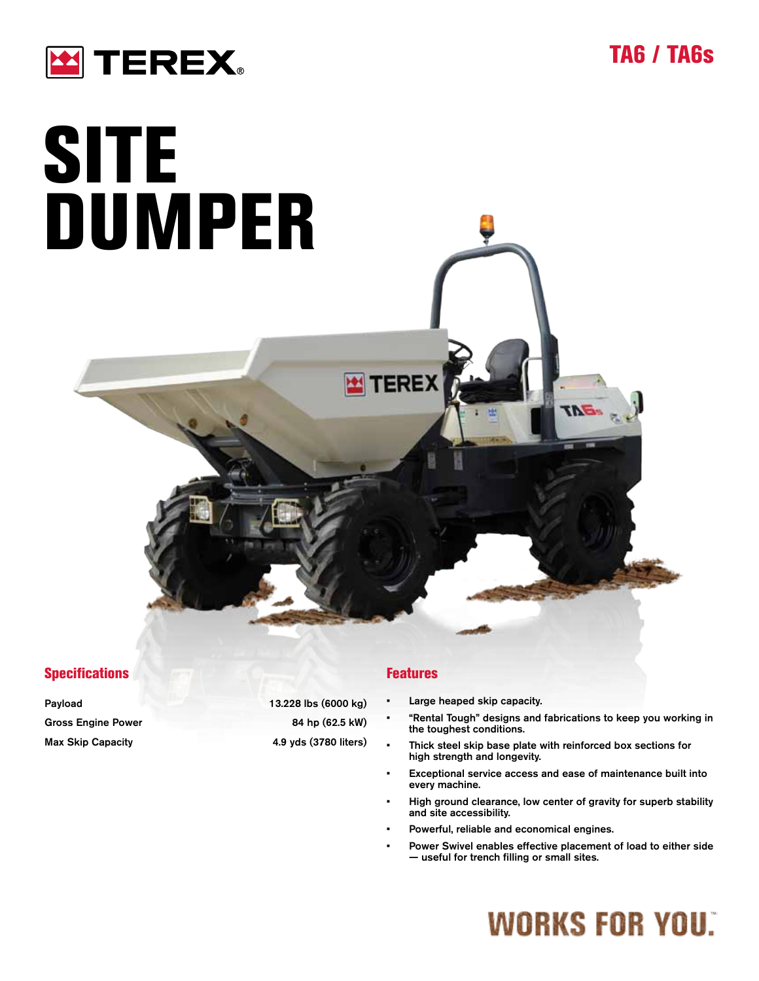



# **SITE** DUMPER

#### **Specifications**

| Payload                   | 13.228 lbs (6000 kg)  |
|---------------------------|-----------------------|
| <b>Gross Engine Power</b> | 84 hp (62.5 kW)       |
| <b>Max Skip Capacity</b>  | 4.9 yds (3780 liters) |

#### Features

TEREX

- Large heaped skip capacity.
- "Rental Tough" designs and fabrications to keep you working in the toughest conditions.
- Thick steel skip base plate with reinforced box sections for high strength and longevity.
- Exceptional service access and ease of maintenance built into every machine.
- High ground clearance, low center of gravity for superb stability and site accessibility.
- Powerful, reliable and economical engines.
- Power Swivel enables effective placement of load to either side — useful for trench filling or small sites.

## **WORKS FOR YOU.**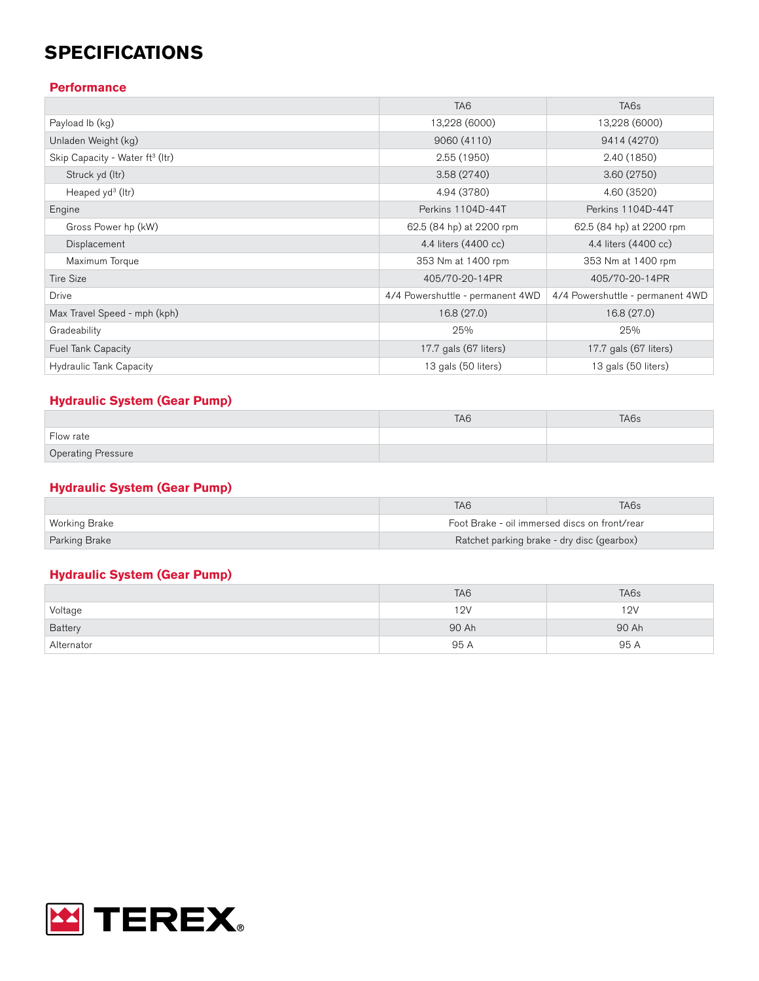### **SPECIFICATIONS**

#### **Performance**

|                                             | TA <sub>6</sub>                  | TA <sub>6s</sub>                 |
|---------------------------------------------|----------------------------------|----------------------------------|
| Payload Ib (kg)                             | 13,228 (6000)                    | 13,228 (6000)                    |
| Unladen Weight (kg)                         | 9060 (4110)                      | 9414 (4270)                      |
| Skip Capacity - Water ft <sup>3</sup> (Itr) | 2.55(1950)                       | 2.40 (1850)                      |
| Struck yd (Itr)                             | 3.58(2740)                       | 3.60(2750)                       |
| Heaped $y d^3$ (ltr)                        | 4.94 (3780)                      | 4.60 (3520)                      |
| Engine                                      | Perkins 1104D-44T                | Perkins 1104D-44T                |
| Gross Power hp (kW)                         | 62.5 (84 hp) at 2200 rpm         | 62.5 (84 hp) at 2200 rpm         |
| Displacement                                | 4.4 liters (4400 cc)             | 4.4 liters (4400 cc)             |
| Maximum Torque                              | 353 Nm at 1400 rpm               | 353 Nm at 1400 rpm               |
| <b>Tire Size</b>                            | 405/70-20-14PR                   | 405/70-20-14PR                   |
| <b>Drive</b>                                | 4/4 Powershuttle - permanent 4WD | 4/4 Powershuttle - permanent 4WD |
| Max Travel Speed - mph (kph)                | 16.8 (27.0)                      | 16.8 (27.0)                      |
| Gradeability                                | 25%                              | 25%                              |
| Fuel Tank Capacity                          | 17.7 gals (67 liters)            | 17.7 gals (67 liters)            |
| <b>Hydraulic Tank Capacity</b>              | 13 gals (50 liters)              | 13 gals (50 liters)              |

#### **Hydraulic System (Gear Pump)**

|                           | TA <sub>6</sub> | TA6s |
|---------------------------|-----------------|------|
| Flow rate                 |                 |      |
| <b>Operating Pressure</b> |                 |      |

#### **Hydraulic System (Gear Pump)**

|               | TA <sub>6</sub>                               | TA6s |
|---------------|-----------------------------------------------|------|
| Working Brake | Foot Brake - oil immersed discs on front/rear |      |
| Parking Brake | Ratchet parking brake - dry disc (gearbox)    |      |

#### **Hydraulic System (Gear Pump)**

|            | TA <sub>6</sub> | TA <sub>6s</sub> |
|------------|-----------------|------------------|
| Voltage    | 12V             | 12V              |
| Battery    | 90 Ah           | 90 Ah            |
| Alternator | 95 A            | 95 A             |

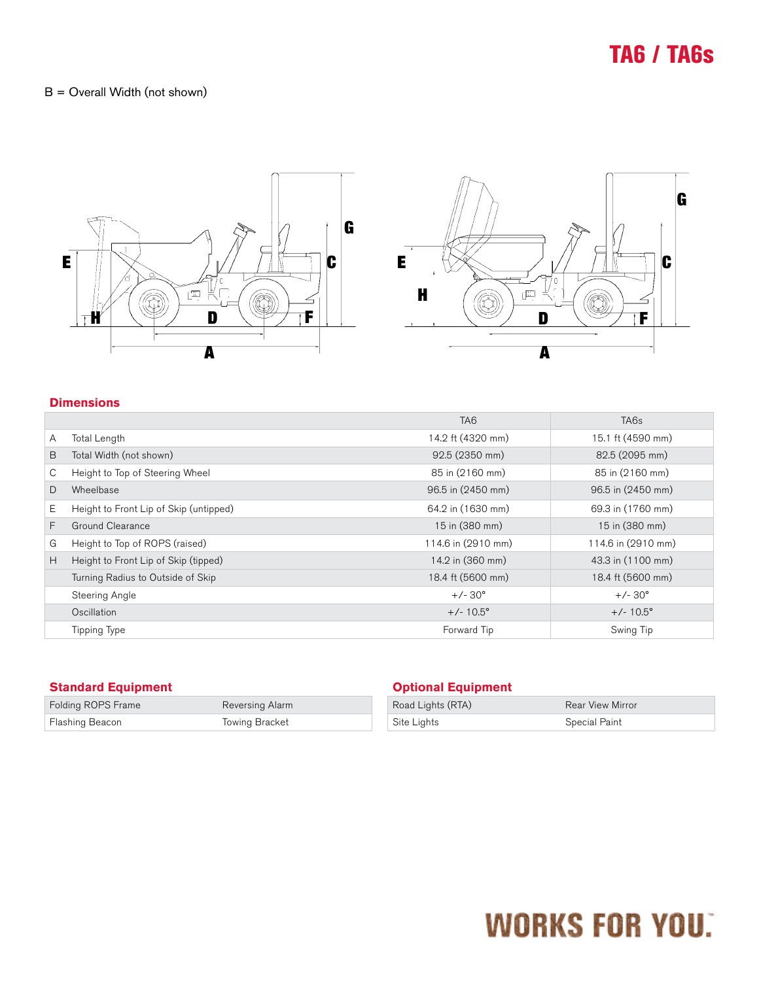## TA6 / TA6s

#### B = Overall Width (not shown)



#### **Dimensions**

|                                        | TA <sub>6</sub>    | TA <sub>6s</sub>   |
|----------------------------------------|--------------------|--------------------|
| Total Length                           | 14.2 ft (4320 mm)  | 15.1 ft (4590 mm)  |
| Total Width (not shown)                | 92.5 (2350 mm)     | 82.5 (2095 mm)     |
| Height to Top of Steering Wheel        | 85 in (2160 mm)    | 85 in (2160 mm)    |
| Wheelbase                              | 96.5 in (2450 mm)  | 96.5 in (2450 mm)  |
| Height to Front Lip of Skip (untipped) | 64.2 in (1630 mm)  | 69.3 in (1760 mm)  |
| Ground Clearance                       | 15 in (380 mm)     | 15 in (380 mm)     |
| Height to Top of ROPS (raised)         | 114.6 in (2910 mm) | 114.6 in (2910 mm) |
| Height to Front Lip of Skip (tipped)   | 14.2 in (360 mm)   | 43.3 in (1100 mm)  |
| Turning Radius to Outside of Skip      | 18.4 ft (5600 mm)  | 18.4 ft (5600 mm)  |
| Steering Angle                         | $+/-30^{\circ}$    | $+/-30^{\circ}$    |
| Oscillation                            | $+/- 10.5^{\circ}$ | $+/- 10.5^{\circ}$ |
| Tipping Type                           | Forward Tip        | Swing Tip          |
|                                        |                    |                    |

| <b>Standard Equipment</b> |                 | Opl  |
|---------------------------|-----------------|------|
| Folding ROPS Frame        | Reversing Alarm | Road |
| Flashing Beacon           | Towing Bracket  | Site |

#### **Optional Equipment**

| Road Lights (RTA) | <b>Rear View Mirror</b> |
|-------------------|-------------------------|
| Site Lights       | Special Paint           |

# **WORKS FOR YOU.**